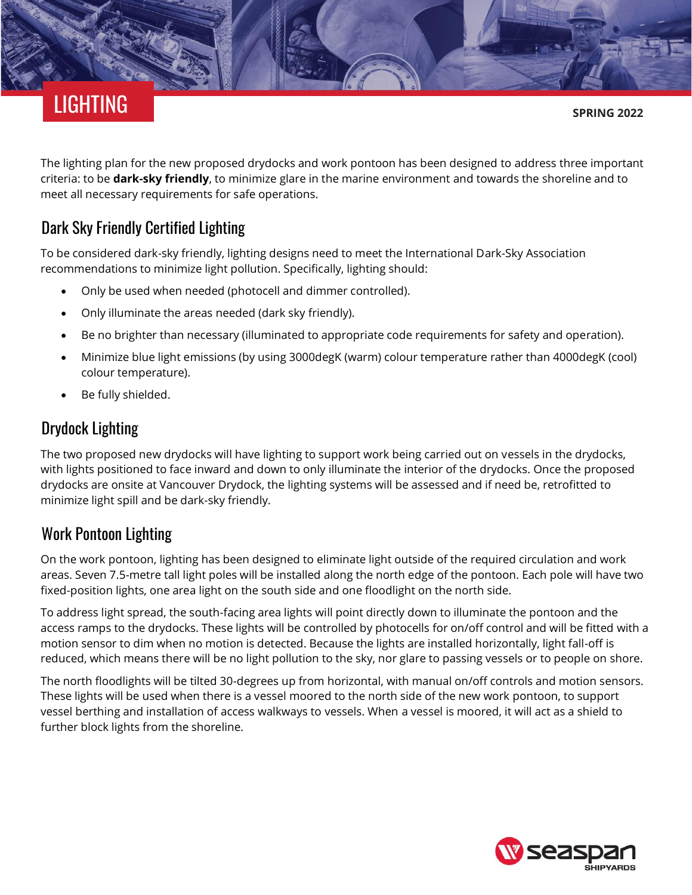# LIGHTING

**SPRING 2022**

The lighting plan for the new proposed drydocks and work pontoon has been designed to address three important criteria: to be **[dark-sky friendly](https://www.darksky.org/our-work/lighting/lighting-for-citizens/lighting-basics/)**, to minimize glare in the marine environment and towards the shoreline and to meet all necessary requirements for safe operations.

## Dark Sky Friendly Certified Lighting

To be considered dark-sky friendly, lighting designs need to meet the International Dark-Sky Association recommendations to minimize light pollution. Specifically, lighting should:

- Only be used when needed (photocell and dimmer controlled).
- Only illuminate the areas needed (dark sky friendly).
- Be no brighter than necessary (illuminated to appropriate code requirements for safety and operation).
- Minimize blue light emissions (by using 3000degK (warm) colour temperature rather than 4000degK (cool) colour temperature).
- Be fully shielded.

#### Drydock Lighting

The two proposed new drydocks will have lighting to support work being carried out on vessels in the drydocks, with lights positioned to face inward and down to only illuminate the interior of the drydocks. Once the proposed drydocks are onsite at Vancouver Drydock, the lighting systems will be assessed and if need be, retrofitted to minimize light spill and be dark-sky friendly.

## Work Pontoon Lighting

On the work pontoon, lighting has been designed to eliminate light outside of the required circulation and work areas. Seven 7.5-metre tall light poles will be installed along the north edge of the pontoon. Each pole will have two fixed-position lights, one area light on the south side and one floodlight on the north side.

To address light spread, the south-facing area lights will point directly down to illuminate the pontoon and the access ramps to the drydocks. These lights will be controlled by photocells for on/off control and will be fitted with a motion sensor to dim when no motion is detected. Because the lights are installed horizontally, light fall-off is reduced, which means there will be no light pollution to the sky, nor glare to passing vessels or to people on shore.

The north floodlights will be tilted 30-degrees up from horizontal, with manual on/off controls and motion sensors. These lights will be used when there is a vessel moored to the north side of the new work pontoon, to support vessel berthing and installation of access walkways to vessels. When a vessel is moored, it will act as a shield to further block lights from the shoreline.